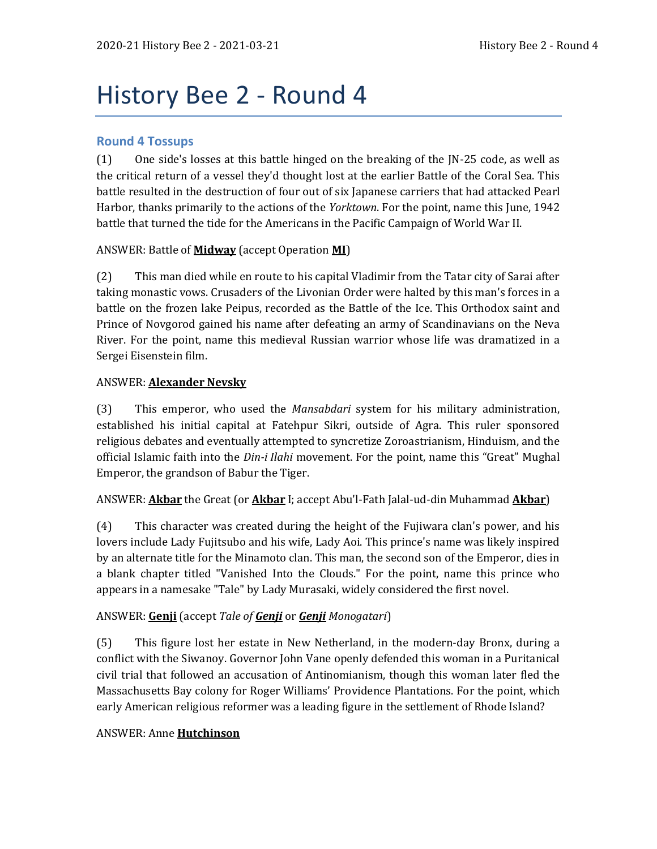# History Bee 2 - Round 4

# **Round 4 Tossups**

(1) One side's losses at this battle hinged on the breaking of the JN-25 code, as well as the critical return of a vessel they'd thought lost at the earlier Battle of the Coral Sea. This battle resulted in the destruction of four out of six Japanese carriers that had attacked Pearl Harbor, thanks primarily to the actions of the *Yorktown*. For the point, name this June, 1942 battle that turned the tide for the Americans in the Pacific Campaign of World War II.

#### ANSWER: Battle of **Midway** (accept Operation **MI**)

(2) This man died while en route to his capital Vladimir from the Tatar city of Sarai after taking monastic vows. Crusaders of the Livonian Order were halted by this man's forces in a battle on the frozen lake Peipus, recorded as the Battle of the Ice. This Orthodox saint and Prince of Novgorod gained his name after defeating an army of Scandinavians on the Neva River. For the point, name this medieval Russian warrior whose life was dramatized in a Sergei Eisenstein film.

#### ANSWER: **Alexander Nevsky**

(3) This emperor, who used the *Mansabdari* system for his military administration, established his initial capital at Fatehpur Sikri, outside of Agra. This ruler sponsored religious debates and eventually attempted to syncretize Zoroastrianism, Hinduism, and the official Islamic faith into the *Din-i Ilahi* movement. For the point, name this "Great" Mughal Emperor, the grandson of Babur the Tiger.

# ANSWER: **Akbar** the Great (or **Akbar** I; accept Abu'l-Fath Jalal-ud-din Muhammad **Akbar**)

(4) This character was created during the height of the Fujiwara clan's power, and his lovers include Lady Fujitsubo and his wife, Lady Aoi. This prince's name was likely inspired by an alternate title for the Minamoto clan. This man, the second son of the Emperor, dies in a blank chapter titled "Vanished Into the Clouds." For the point, name this prince who appears in a namesake "Tale" by Lady Murasaki, widely considered the first novel.

# ANSWER: **Genji** (accept *Tale of Genji* or *Genji Monogatari*)

(5) This figure lost her estate in New Netherland, in the modern-day Bronx, during a conflict with the Siwanoy. Governor John Vane openly defended this woman in a Puritanical civil trial that followed an accusation of Antinomianism, though this woman later fled the Massachusetts Bay colony for Roger Williams' Providence Plantations. For the point, which early American religious reformer was a leading figure in the settlement of Rhode Island?

#### ANSWER: Anne **Hutchinson**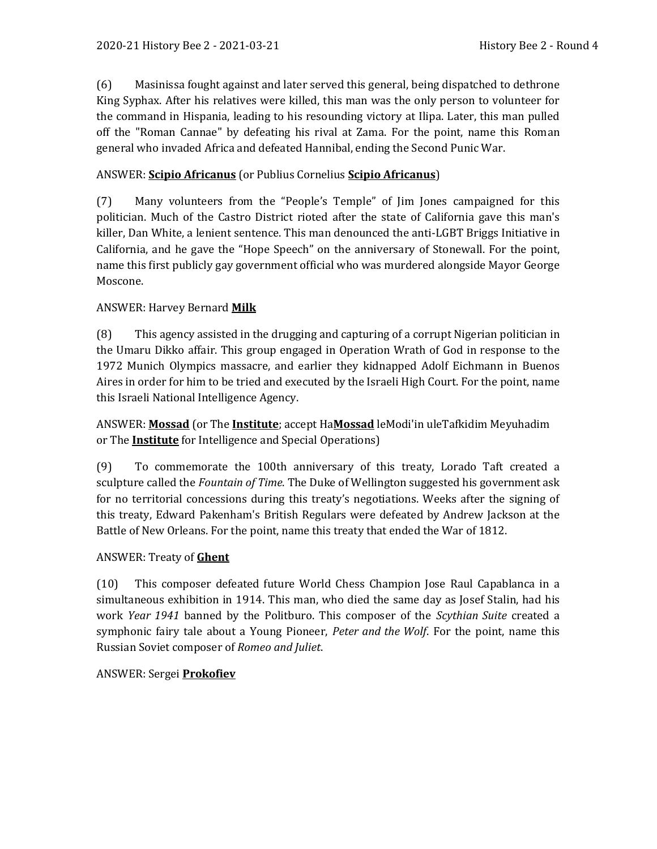(6) Masinissa fought against and later served this general, being dispatched to dethrone King Syphax. After his relatives were killed, this man was the only person to volunteer for the command in Hispania, leading to his resounding victory at Ilipa. Later, this man pulled off the "Roman Cannae" by defeating his rival at Zama. For the point, name this Roman general who invaded Africa and defeated Hannibal, ending the Second Punic War.

#### ANSWER: **Scipio Africanus** (or Publius Cornelius **Scipio Africanus**)

(7) Many volunteers from the "People's Temple" of Jim Jones campaigned for this politician. Much of the Castro District rioted after the state of California gave this man's killer, Dan White, a lenient sentence. This man denounced the anti-LGBT Briggs Initiative in California, and he gave the "Hope Speech" on the anniversary of Stonewall. For the point, name this first publicly gay government official who was murdered alongside Mayor George Moscone.

#### ANSWER: Harvey Bernard **Milk**

(8) This agency assisted in the drugging and capturing of a corrupt Nigerian politician in the Umaru Dikko affair. This group engaged in Operation Wrath of God in response to the 1972 Munich Olympics massacre, and earlier they kidnapped Adolf Eichmann in Buenos Aires in order for him to be tried and executed by the Israeli High Court. For the point, name this Israeli National Intelligence Agency.

ANSWER: **Mossad** (or The **Institute**; accept Ha**Mossad** leModi'in uleTafkidim Meyuhadim or The **Institute** for Intelligence and Special Operations)

(9) To commemorate the 100th anniversary of this treaty, Lorado Taft created a sculpture called the *Fountain of Time*. The Duke of Wellington suggested his government ask for no territorial concessions during this treaty's negotiations. Weeks after the signing of this treaty, Edward Pakenham's British Regulars were defeated by Andrew Jackson at the Battle of New Orleans. For the point, name this treaty that ended the War of 1812.

#### ANSWER: Treaty of **Ghent**

(10) This composer defeated future World Chess Champion Jose Raul Capablanca in a simultaneous exhibition in 1914. This man, who died the same day as Josef Stalin, had his work *Year 1941* banned by the Politburo. This composer of the *Scythian Suite* created a symphonic fairy tale about a Young Pioneer, *Peter and the Wolf*. For the point, name this Russian Soviet composer of *Romeo and Juliet*.

#### ANSWER: Sergei **Prokofiev**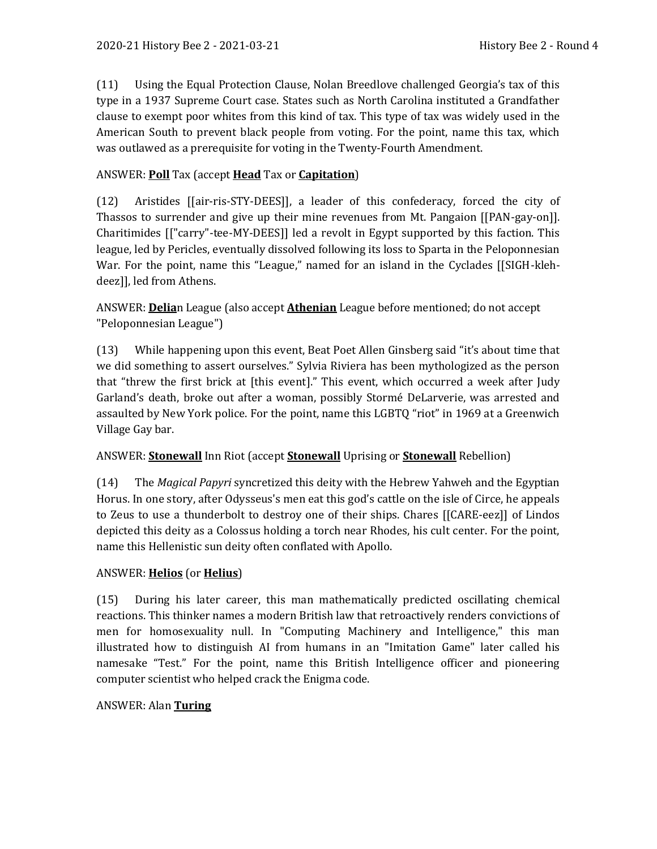(11) Using the Equal Protection Clause, Nolan Breedlove challenged Georgia's tax of this type in a 1937 Supreme Court case. States such as North Carolina instituted a Grandfather clause to exempt poor whites from this kind of tax. This type of tax was widely used in the American South to prevent black people from voting. For the point, name this tax, which was outlawed as a prerequisite for voting in the Twenty-Fourth Amendment.

#### ANSWER: **Poll** Tax (accept **Head** Tax or **Capitation**)

(12) Aristides [[air-ris-STY-DEES]], a leader of this confederacy, forced the city of Thassos to surrender and give up their mine revenues from Mt. Pangaion [[PAN-gay-on]]. Charitimides [["carry"-tee-MY-DEES]] led a revolt in Egypt supported by this faction. This league, led by Pericles, eventually dissolved following its loss to Sparta in the Peloponnesian War. For the point, name this "League," named for an island in the Cyclades [[SIGH-klehdeez]], led from Athens.

ANSWER: **Delia**n League (also accept **Athenian** League before mentioned; do not accept "Peloponnesian League")

(13) While happening upon this event, Beat Poet Allen Ginsberg said "it's about time that we did something to assert ourselves." Sylvia Riviera has been mythologized as the person that "threw the first brick at [this event]." This event, which occurred a week after Judy Garland's death, broke out after a woman, possibly Stormé DeLarverie, was arrested and assaulted by New York police. For the point, name this LGBTQ "riot" in 1969 at a Greenwich Village Gay bar.

#### ANSWER: **Stonewall** Inn Riot (accept **Stonewall** Uprising or **Stonewall** Rebellion)

(14) The *Magical Papyri* syncretized this deity with the Hebrew Yahweh and the Egyptian Horus. In one story, after Odysseus's men eat this god's cattle on the isle of Circe, he appeals to Zeus to use a thunderbolt to destroy one of their ships. Chares [[CARE-eez]] of Lindos depicted this deity as a Colossus holding a torch near Rhodes, his cult center. For the point, name this Hellenistic sun deity often conflated with Apollo.

#### ANSWER: **Helios** (or **Helius**)

(15) During his later career, this man mathematically predicted oscillating chemical reactions. This thinker names a modern British law that retroactively renders convictions of men for homosexuality null. In "Computing Machinery and Intelligence," this man illustrated how to distinguish AI from humans in an "Imitation Game" later called his namesake "Test." For the point, name this British Intelligence officer and pioneering computer scientist who helped crack the Enigma code.

#### ANSWER: Alan **Turing**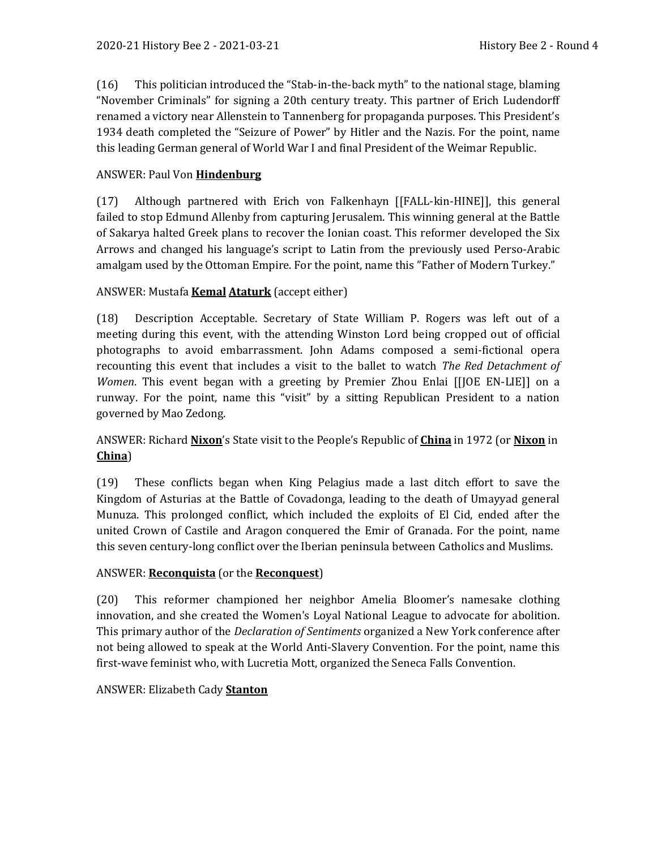(16) This politician introduced the "Stab-in-the-back myth" to the national stage, blaming "November Criminals" for signing a 20th century treaty. This partner of Erich Ludendorff renamed a victory near Allenstein to Tannenberg for propaganda purposes. This President's 1934 death completed the "Seizure of Power" by Hitler and the Nazis. For the point, name this leading German general of World War I and final President of the Weimar Republic.

#### ANSWER: Paul Von **Hindenburg**

(17) Although partnered with Erich von Falkenhayn [[FALL-kin-HINE]], this general failed to stop Edmund Allenby from capturing Jerusalem. This winning general at the Battle of Sakarya halted Greek plans to recover the Ionian coast. This reformer developed the Six Arrows and changed his language's script to Latin from the previously used Perso-Arabic amalgam used by the Ottoman Empire. For the point, name this "Father of Modern Turkey."

#### ANSWER: Mustafa **Kemal Ataturk** (accept either)

(18) Description Acceptable. Secretary of State William P. Rogers was left out of a meeting during this event, with the attending Winston Lord being cropped out of official photographs to avoid embarrassment. John Adams composed a semi-fictional opera recounting this event that includes a visit to the ballet to watch *The Red Detachment of Women*. This event began with a greeting by Premier Zhou Enlai [[JOE EN-LIE]] on a runway. For the point, name this "visit" by a sitting Republican President to a nation governed by Mao Zedong.

## ANSWER: Richard **Nixon**'s State visit to the People's Republic of **China** in 1972 (or **Nixon** in **China**)

(19) These conflicts began when King Pelagius made a last ditch effort to save the Kingdom of Asturias at the Battle of Covadonga, leading to the death of Umayyad general Munuza. This prolonged conflict, which included the exploits of El Cid, ended after the united Crown of Castile and Aragon conquered the Emir of Granada. For the point, name this seven century-long conflict over the Iberian peninsula between Catholics and Muslims.

#### ANSWER: **Reconquista** (or the **Reconquest**)

(20) This reformer championed her neighbor Amelia Bloomer's namesake clothing innovation, and she created the Women's Loyal National League to advocate for abolition. This primary author of the *Declaration of Sentiments* organized a New York conference after not being allowed to speak at the World Anti-Slavery Convention. For the point, name this first-wave feminist who, with Lucretia Mott, organized the Seneca Falls Convention.

#### ANSWER: Elizabeth Cady **Stanton**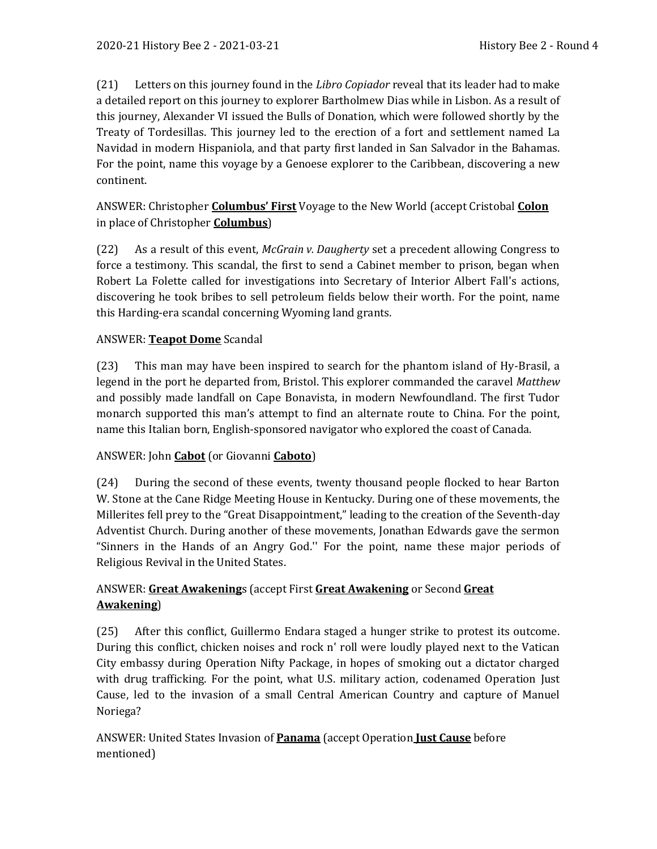(21) Letters on this journey found in the *Libro Copiador* reveal that its leader had to make a detailed report on this journey to explorer Bartholmew Dias while in Lisbon. As a result of this journey, Alexander VI issued the Bulls of Donation, which were followed shortly by the Treaty of Tordesillas. This journey led to the erection of a fort and settlement named La Navidad in modern Hispaniola, and that party first landed in San Salvador in the Bahamas. For the point, name this voyage by a Genoese explorer to the Caribbean, discovering a new continent.

# ANSWER: Christopher **Columbus' First** Voyage to the New World (accept Cristobal **Colon** in place of Christopher **Columbus**)

(22) As a result of this event, *McGrain v. Daugherty* set a precedent allowing Congress to force a testimony. This scandal, the first to send a Cabinet member to prison, began when Robert La Folette called for investigations into Secretary of Interior Albert Fall's actions, discovering he took bribes to sell petroleum fields below their worth. For the point, name this Harding-era scandal concerning Wyoming land grants.

# ANSWER: **Teapot Dome** Scandal

(23) This man may have been inspired to search for the phantom island of Hy-Brasil, a legend in the port he departed from, Bristol. This explorer commanded the caravel *Matthew* and possibly made landfall on Cape Bonavista, in modern Newfoundland. The first Tudor monarch supported this man's attempt to find an alternate route to China. For the point, name this Italian born, English-sponsored navigator who explored the coast of Canada.

# ANSWER: John **Cabot** (or Giovanni **Caboto**)

(24) During the second of these events, twenty thousand people flocked to hear Barton W. Stone at the Cane Ridge Meeting House in Kentucky. During one of these movements, the Millerites fell prey to the "Great Disappointment," leading to the creation of the Seventh-day Adventist Church. During another of these movements, Jonathan Edwards gave the sermon "Sinners in the Hands of an Angry God.'' For the point, name these major periods of Religious Revival in the United States.

# ANSWER: **Great Awakening**s (accept First **Great Awakening** or Second **Great Awakening**)

(25) After this conflict, Guillermo Endara staged a hunger strike to protest its outcome. During this conflict, chicken noises and rock n' roll were loudly played next to the Vatican City embassy during Operation Nifty Package, in hopes of smoking out a dictator charged with drug trafficking. For the point, what U.S. military action, codenamed Operation Just Cause, led to the invasion of a small Central American Country and capture of Manuel Noriega?

ANSWER: United States Invasion of **Panama** (accept Operation **Just Cause** before mentioned)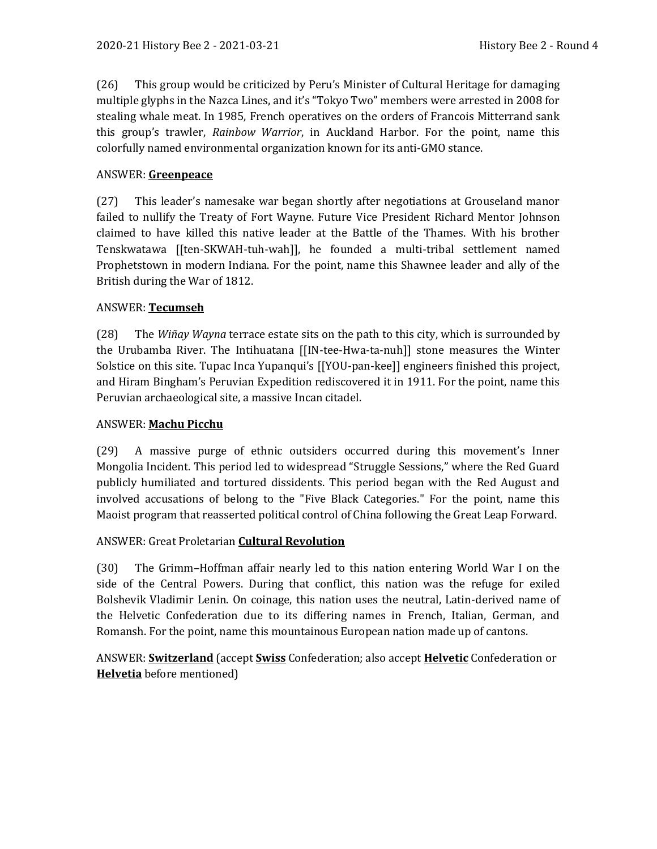(26) This group would be criticized by Peru's Minister of Cultural Heritage for damaging multiple glyphs in the Nazca Lines, and it's "Tokyo Two" members were arrested in 2008 for stealing whale meat. In 1985, French operatives on the orders of Francois Mitterrand sank this group's trawler, *Rainbow Warrior*, in Auckland Harbor. For the point, name this colorfully named environmental organization known for its anti-GMO stance.

#### ANSWER: **Greenpeace**

(27) This leader's namesake war began shortly after negotiations at Grouseland manor failed to nullify the Treaty of Fort Wayne. Future Vice President Richard Mentor Johnson claimed to have killed this native leader at the Battle of the Thames. With his brother Tenskwatawa [[ten-SKWAH-tuh-wah]], he founded a multi-tribal settlement named Prophetstown in modern Indiana. For the point, name this Shawnee leader and ally of the British during the War of 1812.

#### ANSWER: **Tecumseh**

(28) The *Wiñay Wayna* terrace estate sits on the path to this city, which is surrounded by the Urubamba River. The Intihuatana [[IN-tee-Hwa-ta-nuh]] stone measures the Winter Solstice on this site. Tupac Inca Yupanqui's [[YOU-pan-kee]] engineers finished this project, and Hiram Bingham's Peruvian Expedition rediscovered it in 1911. For the point, name this Peruvian archaeological site, a massive Incan citadel.

#### ANSWER: **Machu Picchu**

(29) A massive purge of ethnic outsiders occurred during this movement's Inner Mongolia Incident. This period led to widespread "Struggle Sessions," where the Red Guard publicly humiliated and tortured dissidents. This period began with the Red August and involved accusations of belong to the "Five Black Categories." For the point, name this Maoist program that reasserted political control of China following the Great Leap Forward.

#### ANSWER: Great Proletarian **Cultural Revolution**

(30) The Grimm–Hoffman affair nearly led to this nation entering World War I on the side of the Central Powers. During that conflict, this nation was the refuge for exiled Bolshevik Vladimir Lenin. On coinage, this nation uses the neutral, Latin-derived name of the Helvetic Confederation due to its differing names in French, Italian, German, and Romansh. For the point, name this mountainous European nation made up of cantons.

ANSWER: **Switzerland** (accept **Swiss** Confederation; also accept **Helvetic** Confederation or **Helvetia** before mentioned)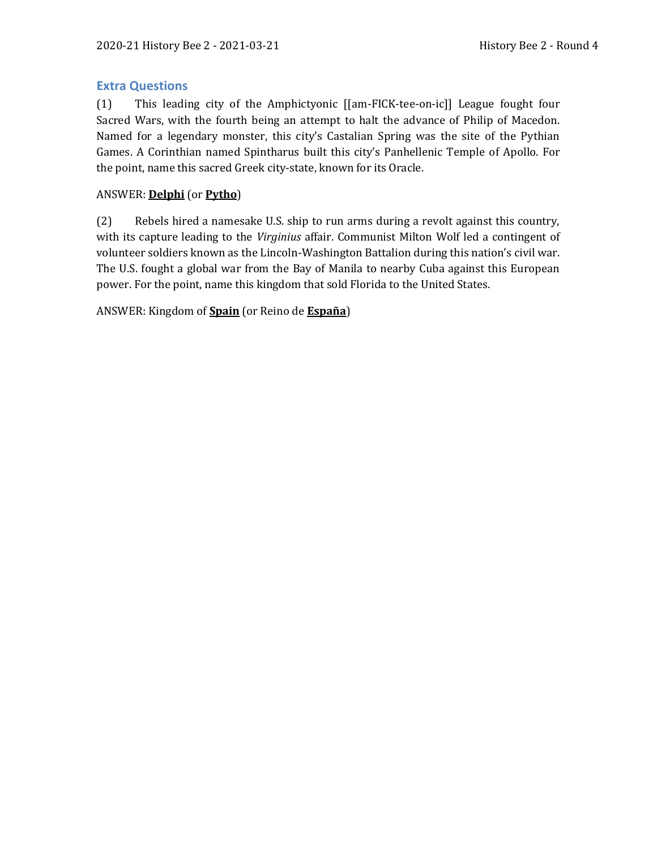## **Extra Questions**

(1) This leading city of the Amphictyonic [[am-FICK-tee-on-ic]] League fought four Sacred Wars, with the fourth being an attempt to halt the advance of Philip of Macedon. Named for a legendary monster, this city's Castalian Spring was the site of the Pythian Games. A Corinthian named Spintharus built this city's Panhellenic Temple of Apollo. For the point, name this sacred Greek city-state, known for its Oracle.

## ANSWER: **Delphi** (or **Pytho**)

(2) Rebels hired a namesake U.S. ship to run arms during a revolt against this country, with its capture leading to the *Virginius* affair. Communist Milton Wolf led a contingent of volunteer soldiers known as the Lincoln-Washington Battalion during this nation's civil war. The U.S. fought a global war from the Bay of Manila to nearby Cuba against this European power. For the point, name this kingdom that sold Florida to the United States.

ANSWER: Kingdom of **Spain** (or Reino de **España**)